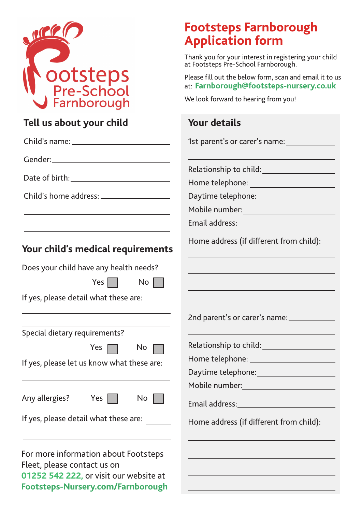

| Tell us about your child                                                                                                                           | <b>Your details</b>                                                                                                                                                                                                            |  |
|----------------------------------------------------------------------------------------------------------------------------------------------------|--------------------------------------------------------------------------------------------------------------------------------------------------------------------------------------------------------------------------------|--|
|                                                                                                                                                    | 1st parent's or carer's name: ______________                                                                                                                                                                                   |  |
|                                                                                                                                                    |                                                                                                                                                                                                                                |  |
|                                                                                                                                                    |                                                                                                                                                                                                                                |  |
|                                                                                                                                                    |                                                                                                                                                                                                                                |  |
|                                                                                                                                                    |                                                                                                                                                                                                                                |  |
| the control of the control of the control of the control of the control of the control of                                                          |                                                                                                                                                                                                                                |  |
|                                                                                                                                                    | Email address: Note and the series of the series of the series of the series of the series of the series of the series of the series of the series of the series of the series of the series of the series of the series of th |  |
| Your child's medical requirements                                                                                                                  | Home address (if different from child):                                                                                                                                                                                        |  |
| Does your child have any health needs?                                                                                                             |                                                                                                                                                                                                                                |  |
| Yes $\vert$ $\vert$<br>No                                                                                                                          |                                                                                                                                                                                                                                |  |
| If yes, please detail what these are:                                                                                                              |                                                                                                                                                                                                                                |  |
|                                                                                                                                                    | 2nd parent's or carer's name: __________                                                                                                                                                                                       |  |
| Special dietary requirements?                                                                                                                      |                                                                                                                                                                                                                                |  |
| Yes $\Box$<br>No                                                                                                                                   | Relationship to child: ______________                                                                                                                                                                                          |  |
| If yes, please let us know what these are:                                                                                                         |                                                                                                                                                                                                                                |  |
|                                                                                                                                                    | Daytime telephone: <u>contained</u> and the Daytime telephone:                                                                                                                                                                 |  |
|                                                                                                                                                    | Mobile number:                                                                                                                                                                                                                 |  |
| Any allergies?<br>Yes<br>No                                                                                                                        | Email address: North and Senator Contractor and Senator Contractor                                                                                                                                                             |  |
| If yes, please detail what these are:                                                                                                              | Home address (if different from child):                                                                                                                                                                                        |  |
| For more information about Footsteps<br>Fleet, please contact us on<br>01252 542 222, or visit our website at<br>Footsteps-Nursery.com/Farnborough |                                                                                                                                                                                                                                |  |

# **Footsteps Farnborough Application form**

Thank you for your interest in registering your child at Footsteps Pre-School Farnborough.

Please fill out the below form, scan and email it to us at: **Farnborough@footsteps-nursery.co.uk**

We look forward to hearing from you!